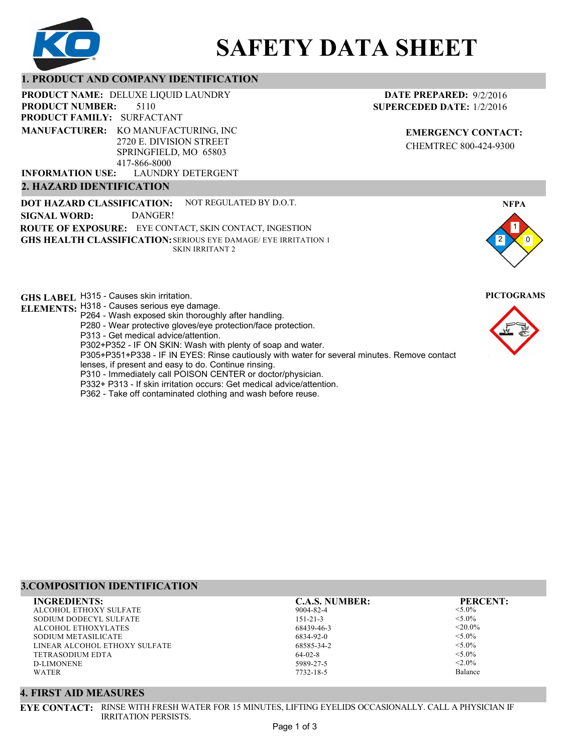

# **SAFETY DATA SHEET**

### **1. PRODUCT AND COMPANY IDENTIFICATION**

**PRODUCT NAME: DELUXE LIQUID LAUNDRY** 

5110 **PRODUCT FAMILY: SURFACTANT PRODUCT NUMBER: MANUFACTURER:** KO MANUFACTURING, INC 2720 E. DIVISION STREET SPRINGFIELD, MO 65803

LAUNDRY DETERGENT 417-866-8000 **INFORMATION USE:**

### **2. HAZARD IDENTIFICATION**

**DOT HAZARD CLASSIFICATION: GHS HEALTH CLASSIFICATION:** SERIOUS EYE DAMAGE/ EYE IRRITATION 1 **ROUTE OF EXPOSURE:** EYE CONTACT, SKIN CONTACT, INGESTION NOT REGULATED BY D.O.T. SKIN IRRITANT 2 **SIGNAL WORD:** DANGER!

**GHS LABEL**  H315 - Causes skin irritation. **PICTOGRAMS**

- **ELEMENTS:** H318 Causes serious eye damage.
	- P264 Wash exposed skin thoroughly after handling.
	- P280 Wear protective gloves/eye protection/face protection.
	- P313 Get medical advice/attention.
	- P302+P352 IF ON SKIN: Wash with plenty of soap and water.

P305+P351+P338 - IF IN EYES: Rinse cautiously with water for several minutes. Remove contact

- lenses, if present and easy to do. Continue rinsing.
- P310 Immediately call POISON CENTER or doctor/physician. P332+ P313 - If skin irritation occurs: Get medical advice/attention.
- 
- P362 Take off contaminated clothing and wash before reuse.

# **3.COMPOSITION IDENTIFICATION**

ALCOHOL ETHOXY SULFATE SODIUM DODECYL SULFATE ALCOHOL ETHOXYLATES SODIUM METASILICATE LINEAR ALCOHOL ETHOXY SULFATE TETRASODIUM EDTA D-LIMONENE WATER **INGREDIENTS: C.A.S. NUMBER: PERCENT:**

9004-82-4 151-21-3 68439-46-3 6834-92-0 68585-34-2 64-02-8 5989-27-5 7732-18-5

<5.0%  $< 5.0\%$  $<$ 20.0%  $<$ 5.0%  $< 5.0\%$  $<$ 5.0%  $< 2.0\%$ 

Balance

#### **4. FIRST AID MEASURES**

**EYE CONTACT:** RINSE WITH FRESH WATER FOR 15 MINUTES, LIFTING EYELIDS OCCASIONALLY. CALL A PHYSICIAN IF IRRITATION PERSISTS.

# **DATE PREPARED:** 9/2/2016 **SUPERCEDED DATE:** 1/2/2016

**EMERGENCY CONTACT:** CHEMTREC 800-424-9300



1 0

**NFPA**

2

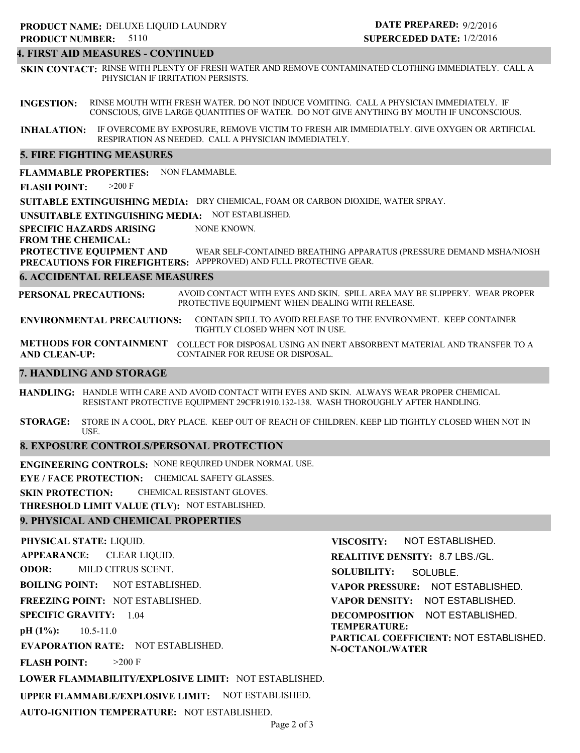#### **4. FIRST AID MEASURES - CONTINUED**

**SKIN CONTACT:** RINSE WITH PLENTY OF FRESH WATER AND REMOVE CONTAMINATED CLOTHING IMMEDIATELY. CALL A PHYSICIAN IF IRRITATION PERSISTS.

**INGESTION:** RINSE MOUTH WITH FRESH WATER. DO NOT INDUCE VOMITING. CALL A PHYSICIAN IMMEDIATELY. IF CONSCIOUS, GIVE LARGE QUANTITIES OF WATER. DO NOT GIVE ANYTHING BY MOUTH IF UNCONSCIOUS.

**INHALATION:** IF OVERCOME BY EXPOSURE, REMOVE VICTIM TO FRESH AIR IMMEDIATELY. GIVE OXYGEN OR ARTIFICIAL RESPIRATION AS NEEDED. CALL A PHYSICIAN IMMEDIATELY.

#### **5. FIRE FIGHTING MEASURES**

**FLAMMABLE PROPERTIES:** NON FLAMMABLE.

**FLASH POINT:** >200 F

**SUITABLE EXTINGUISHING MEDIA:** DRY CHEMICAL, FOAM OR CARBON DIOXIDE, WATER SPRAY.

**UNSUITABLE EXTINGUISHING MEDIA:** NOT ESTABLISHED.

**SPECIFIC HAZARDS ARISING** NONE KNOWN.

#### **FROM THE CHEMICAL:**

**PROTECTIVE EQUIPMENT AND PRECAUTIONS FOR FIREFIGHTERS:** APPPROVED) AND FULL PROTECTIVE GEAR. WEAR SELF-CONTAINED BREATHING APPARATUS (PRESSURE DEMAND MSHA/NIOSH

#### **6. ACCIDENTAL RELEASE MEASURES**

**PERSONAL PRECAUTIONS:** AVOID CONTACT WITH EYES AND SKIN. SPILL AREA MAY BE SLIPPERY. WEAR PROPER PROTECTIVE EQUIPMENT WHEN DEALING WITH RELEASE.

**ENVIRONMENTAL PRECAUTIONS:** CONTAIN SPILL TO AVOID RELEASE TO THE ENVIRONMENT. KEEP CONTAINER TIGHTLY CLOSED WHEN NOT IN USE.

**METHODS FOR CONTAINMENT** COLLECT FOR DISPOSAL USING AN INERT ABSORBENT MATERIAL AND TRANSFER TO A **AND CLEAN-UP:** CONTAINER FOR REUSE OR DISPOSAL.

#### **7. HANDLING AND STORAGE**

**HANDLING:** HANDLE WITH CARE AND AVOID CONTACT WITH EYES AND SKIN. ALWAYS WEAR PROPER CHEMICAL RESISTANT PROTECTIVE EQUIPMENT 29CFR1910.132-138. WASH THOROUGHLY AFTER HANDLING.

**STORAGE:** STORE IN A COOL, DRY PLACE. KEEP OUT OF REACH OF CHILDREN. KEEP LID TIGHTLY CLOSED WHEN NOT IN USE.

#### **8. EXPOSURE CONTROLS/PERSONAL PROTECTION**

**ENGINEERING CONTROLS:** NONE REQUIRED UNDER NORMAL USE.

**EYE / FACE PROTECTION:** CHEMICAL SAFETY GLASSES.

**SKIN PROTECTION:** CHEMICAL RESISTANT GLOVES.

**THRESHOLD LIMIT VALUE (TLV):** NOT ESTABLISHED.

#### **9. PHYSICAL AND CHEMICAL PROPERTIES**

**PHYSICAL STATE:** LIQUID. **APPEARANCE: ODOR: BOILING POINT: FREEZING POINT:** NOT ESTABLISHED. **SPECIFIC GRAVITY:** 1.04 **pH (1%): EVAPORATION RATE:** NOT ESTABLISHED. **FLASH POINT: LOWER FLAMMABILITY/EXPLOSIVE LIMIT:** NOT ESTABLISHED. **UPPER FLAMMABLE/EXPLOSIVE LIMIT:** NOT ESTABLISHED. **AUTO-IGNITION TEMPERATURE:** NOT ESTABLISHED. NOT ESTABLISHED. 10.5-11.0  $>200$  F CLEAR LIQUID. MILD CITRUS SCENT. **VISCOSITY: SOLUBILITY: TEMPERATURE: N-OCTANOL/WATER**

**REALITIVE DENSITY:** 8.7 LBS./GL. **VAPOR PRESSURE:** NOT ESTABLISHED. **VAPOR DENSITY:** NOT ESTABLISHED. **DECOMPOSITION** NOT ESTABLISHED. **PARTICAL COEFFICIENT:** NOT ESTABLISHED. NOT ESTABLISHED. SOLUBLE.